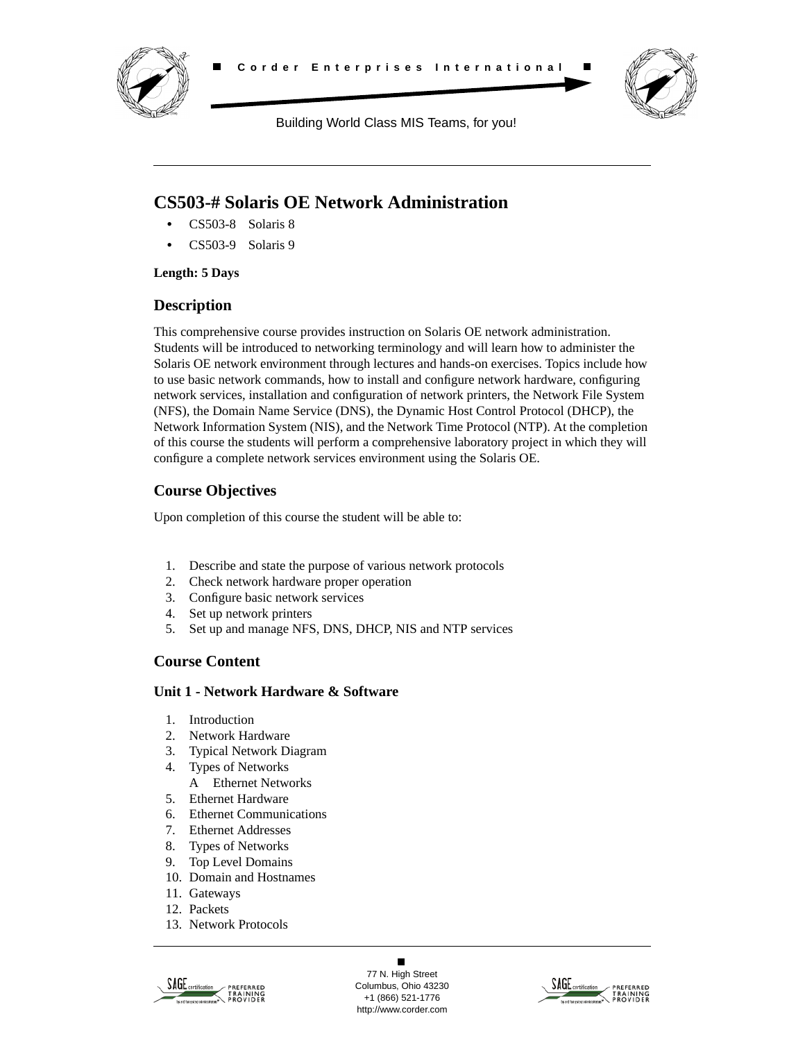



Building World Class MIS Teams, for you!

# **CS503-# Solaris OE Network Administration**

- **•** CS503-8 Solaris 8
- **•** CS503-9 Solaris 9

### **Length: 5 Days**

### **Description**

This comprehensive course provides instruction on Solaris OE network administration. Students will be introduced to networking terminology and will learn how to administer the Solaris OE network environment through lectures and hands-on exercises. Topics include how to use basic network commands, how to install and configure network hardware, configuring network services, installation and configuration of network printers, the Network File System (NFS), the Domain Name Service (DNS), the Dynamic Host Control Protocol (DHCP), the Network Information System (NIS), and the Network Time Protocol (NTP). At the completion of this course the students will perform a comprehensive laboratory project in which they will configure a complete network services environment using the Solaris OE.

# **Course Objectives**

Upon completion of this course the student will be able to:

- 1. Describe and state the purpose of various network protocols
- 2. Check network hardware proper operation
- 3. Configure basic network services
- 4. Set up network printers
- 5. Set up and manage NFS, DNS, DHCP, NIS and NTP services

# **Course Content**

### **Unit 1 - Network Hardware & Software**

- 1. Introduction
- 2. Network Hardware
- 3. Typical Network Diagram
- 4. Types of Networks
	- A Ethernet Networks
- 5. Ethernet Hardware
- 6. Ethernet Communications
- 7. Ethernet Addresses
- 8. Types of Networks
- 9. Top Level Domains
- 10. Domain and Hostnames
- 11. Gateways
- 12. Packets
- 13. Network Protocols



 $\blacksquare$ 77 N. High Street Columbus, Ohio 43230 +1 (866) 521-1776 http://www.corder.com

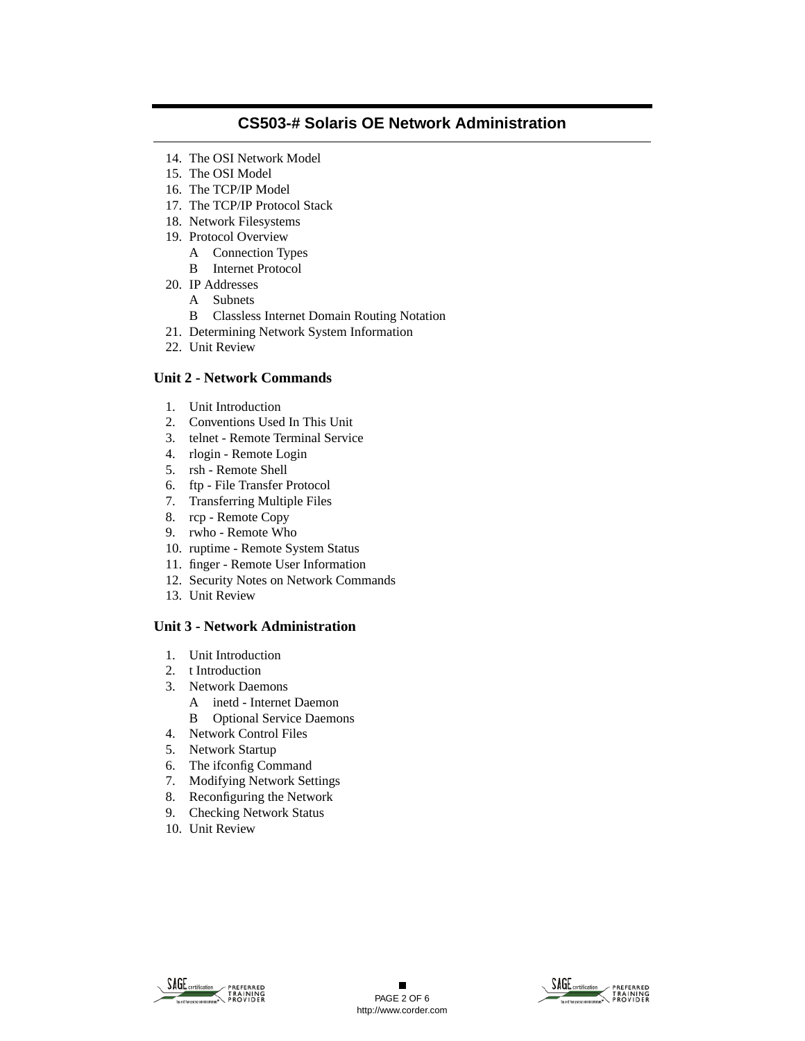- 14. The OSI Network Model
- 15. The OSI Model
- 16. The TCP/IP Model
- 17. The TCP/IP Protocol Stack
- 18. Network Filesystems
- 19. Protocol Overview
	- A Connection Types
	- B Internet Protocol
- 20. IP Addresses
	- A Subnets
	- B Classless Internet Domain Routing Notation
- 21. Determining Network System Information
- 22. Unit Review

#### **Unit 2 - Network Commands**

- 1. Unit Introduction
- 2. Conventions Used In This Unit
- 3. telnet Remote Terminal Service
- 4. rlogin Remote Login
- 5. rsh Remote Shell
- 6. ftp File Transfer Protocol
- 7. Transferring Multiple Files
- 8. rcp Remote Copy
- 9. rwho Remote Who
- 10. ruptime Remote System Status
- 11. finger Remote User Information
- 12. Security Notes on Network Commands
- 13. Unit Review

### **Unit 3 - Network Administration**

- 1. Unit Introduction
- 2. t Introduction
- 3. Network Daemons
	- A inetd Internet Daemon B Optional Service Daemons
- 4. Network Control Files
- 5. Network Startup
- 6. The ifconfig Command
- 7. Modifying Network Settings
- 8. Reconfiguring the Network
- 9. Checking Network Status
- 10. Unit Review



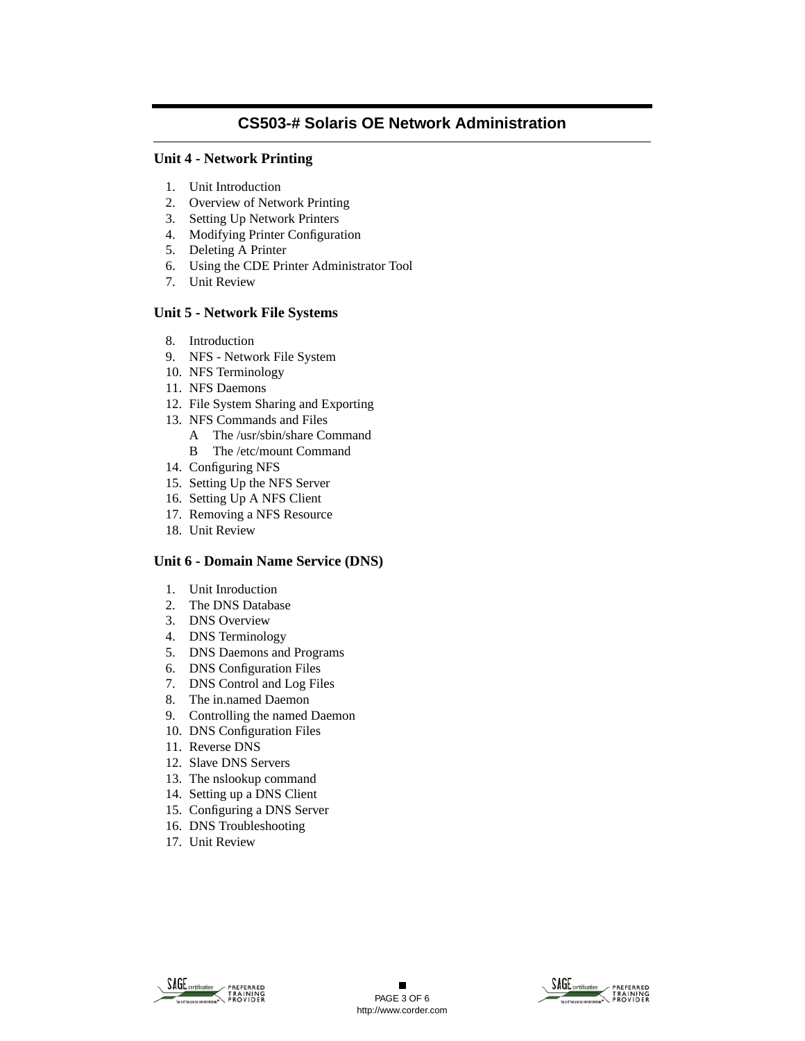### **Unit 4 - Network Printing**

- 1. Unit Introduction
- 2. Overview of Network Printing
- 3. Setting Up Network Printers
- 4. Modifying Printer Configuration
- 5. Deleting A Printer
- 6. Using the CDE Printer Administrator Tool
- 7. Unit Review

#### **Unit 5 - Network File Systems**

- 8. Introduction
- 9. NFS Network File System
- 10. NFS Terminology
- 11. NFS Daemons
- 12. File System Sharing and Exporting
- 13. NFS Commands and Files
	- A The /usr/sbin/share Command
	- B The /etc/mount Command
- 14. Configuring NFS
- 15. Setting Up the NFS Server
- 16. Setting Up A NFS Client
- 17. Removing a NFS Resource
- 18. Unit Review

### **Unit 6 - Domain Name Service (DNS)**

- 1. Unit Inroduction
- 2. The DNS Database
- 3. DNS Overview
- 4. DNS Terminology
- 5. DNS Daemons and Programs
- 6. DNS Configuration Files
- 7. DNS Control and Log Files
- 8. The in.named Daemon
- 9. Controlling the named Daemon
- 10. DNS Configuration Files
- 11. Reverse DNS
- 12. Slave DNS Servers
- 13. The nslookup command
- 14. Setting up a DNS Client
- 15. Configuring a DNS Server
- 16. DNS Troubleshooting
- 17. Unit Review



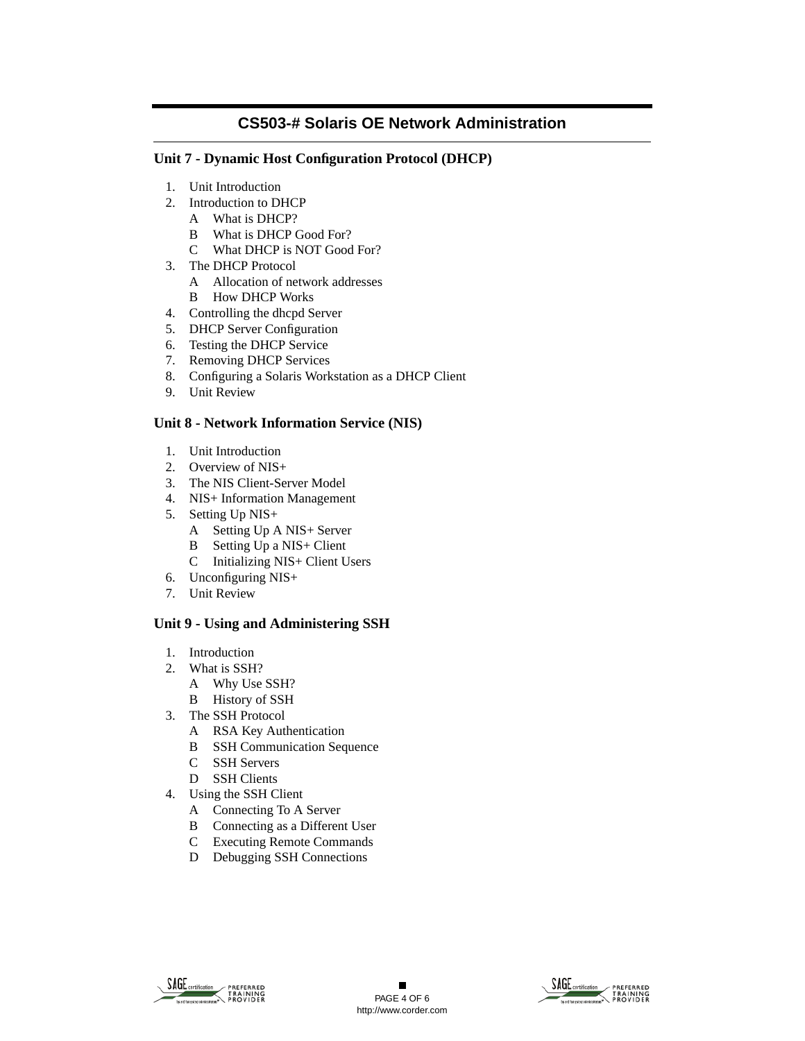### **Unit 7 - Dynamic Host Configuration Protocol (DHCP)**

- 1. Unit Introduction
- 2. Introduction to DHCP
	- A What is DHCP?
	- B What is DHCP Good For?
	- C What DHCP is NOT Good For?
- 3. The DHCP Protocol
	- A Allocation of network addresses
	- B How DHCP Works
- 4. Controlling the dhcpd Server
- 5. DHCP Server Configuration
- 6. Testing the DHCP Service
- 7. Removing DHCP Services
- 8. Configuring a Solaris Workstation as a DHCP Client
- 9. Unit Review

### **Unit 8 - Network Information Service (NIS)**

- 1. Unit Introduction
- 2. Overview of NIS+
- 3. The NIS Client-Server Model
- 4. NIS+ Information Management
- 5. Setting Up NIS+
	- A Setting Up A NIS+ Server
	- B Setting Up a NIS+ Client
	- C Initializing NIS+ Client Users
- 6. Unconfiguring NIS+
- 7. Unit Review

### **Unit 9 - Using and Administering SSH**

- 1. Introduction
- 2. What is SSH?
	- A Why Use SSH?
	- B History of SSH
- 3. The SSH Protocol
	- A RSA Key Authentication
	- B SSH Communication Sequence
	- C SSH Servers
	- D SSH Clients
- 4. Using the SSH Client
	- A Connecting To A Server
	- B Connecting as a Different User
	- C Executing Remote Commands
	- D Debugging SSH Connections



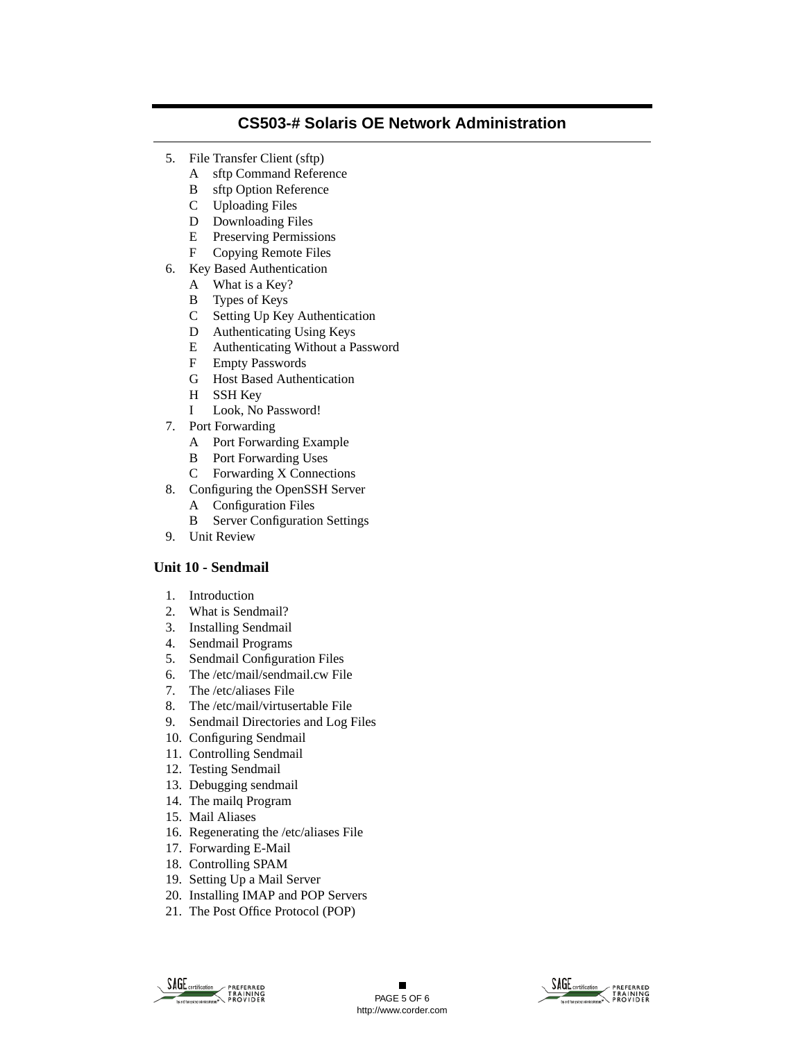- 5. File Transfer Client (sftp)
	- A sftp Command Reference
	- B sftp Option Reference
	- C Uploading Files
	- D Downloading Files
	- E Preserving Permissions
	- F Copying Remote Files
- 6. Key Based Authentication
	- A What is a Key?
	- B Types of Keys
	- C Setting Up Key Authentication
	- D Authenticating Using Keys
	- E Authenticating Without a Password
	- F Empty Passwords
	- G Host Based Authentication
	- H SSH Key
	- I Look, No Password!
- 7. Port Forwarding
	- A Port Forwarding Example
	- B Port Forwarding Uses
	- C Forwarding X Connections
- 8. Configuring the OpenSSH Server
	- A Configuration Files
	- B Server Configuration Settings
- 9. Unit Review

### **Unit 10 - Sendmail**

- 1. Introduction
- 2. What is Sendmail?
- 3. Installing Sendmail
- 4. Sendmail Programs
- 5. Sendmail Configuration Files
- 6. The /etc/mail/sendmail.cw File
- 7. The /etc/aliases File
- 8. The /etc/mail/virtusertable File
- 9. Sendmail Directories and Log Files
- 10. Configuring Sendmail
- 11. Controlling Sendmail
- 12. Testing Sendmail
- 13. Debugging sendmail
- 14. The mailq Program
- 15. Mail Aliases
- 16. Regenerating the /etc/aliases File
- 17. Forwarding E-Mail
- 18. Controlling SPAM
- 19. Setting Up a Mail Server
- 20. Installing IMAP and POP Servers
- 21. The Post Office Protocol (POP)